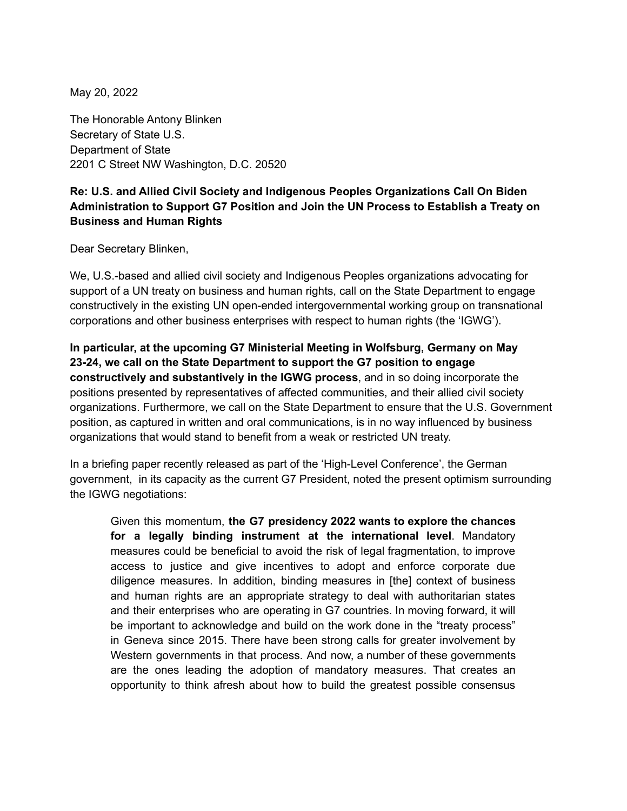May 20, 2022

The Honorable Antony Blinken Secretary of State U.S. Department of State 2201 C Street NW Washington, D.C. 20520

## **Re: U.S. and Allied Civil Society and Indigenous Peoples Organizations Call On Biden Administration to Support G7 Position and Join the UN Process to Establish a Treaty on Business and Human Rights**

Dear Secretary Blinken,

We, U.S.-based and allied civil society and Indigenous Peoples organizations advocating for support of a UN treaty on business and human rights, call on the State Department to engage constructively in the existing UN open-ended intergovernmental working group on transnational corporations and other business enterprises with respect to human rights (the 'IGWG').

**In particular, at the upcoming G7 Ministerial Meeting in Wolfsburg, Germany on May 23-24, we call on the State Department to support the G7 position to engage constructively and substantively in the IGWG process**, and in so doing incorporate the positions presented by representatives of affected communities, and their allied civil society organizations. Furthermore, we call on the State Department to ensure that the U.S. Government position, as captured in written and oral communications, is in no way influenced by business organizations that would stand to benefit from a weak or restricted UN treaty.

In a briefing paper recently released as part of the 'High-Level Conference', the German government, in its capacity as the current G7 President, noted the present optimism surrounding the IGWG negotiations:

Given this momentum, **the G7 presidency 2022 wants to explore the chances for a legally binding instrument at the international level**. Mandatory measures could be beneficial to avoid the risk of legal fragmentation, to improve access to justice and give incentives to adopt and enforce corporate due diligence measures. In addition, binding measures in [the] context of business and human rights are an appropriate strategy to deal with authoritarian states and their enterprises who are operating in G7 countries. In moving forward, it will be important to acknowledge and build on the work done in the "treaty process" in Geneva since 2015. There have been strong calls for greater involvement by Western governments in that process. And now, a number of these governments are the ones leading the adoption of mandatory measures. That creates an opportunity to think afresh about how to build the greatest possible consensus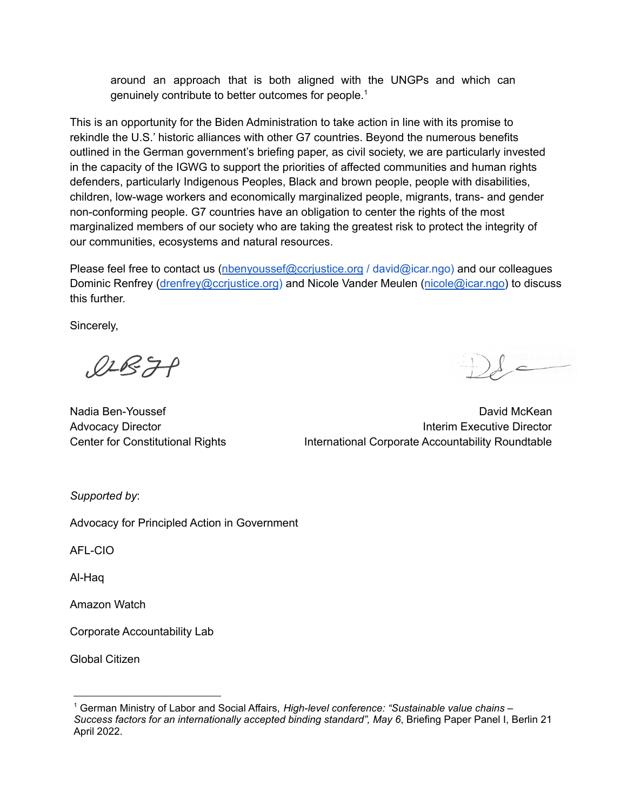around an approach that is both aligned with the UNGPs and which can genuinely contribute to better outcomes for people. 1

This is an opportunity for the Biden Administration to take action in line with its promise to rekindle the U.S.' historic alliances with other G7 countries. Beyond the numerous benefits outlined in the German government's briefing paper, as civil society, we are particularly invested in the capacity of the IGWG to support the priorities of affected communities and human rights defenders, particularly Indigenous Peoples, Black and brown people, people with disabilities, children, low-wage workers and economically marginalized people, migrants, trans- and gender non-conforming people. G7 countries have an obligation to center the rights of the most marginalized members of our society who are taking the greatest risk to protect the integrity of our communities, ecosystems and natural resources.

Please feel free to contact us (nbenyoussef@ccrjustice.org / david@icar.ngo) and our colleagues Dominic Renfrey (drenfrey@ccrjustice.org) and Nicole Vander Meulen (nicole@icar.ngo) to discuss this further.

Sincerely,

 $Q2B7P$ 

Nadia Ben-Youssef **David McKean** David McKean Nadia Ben-Youssef Advocacy Director **Interim Executive Director Interim Executive Director** Center for Constitutional Rights International Corporate Accountability Roundtable

*Supported by*:

Advocacy for Principled Action in Government

AFL-CIO

Al-Haq

Amazon Watch

Corporate Accountability Lab

Global Citizen

<sup>1</sup> German Ministry of Labor and Social Affairs, *High-level conference: "Sustainable value chains – Success factors for an internationally accepted binding standard", May 6*, Briefing Paper Panel I, Berlin 21 April 2022.